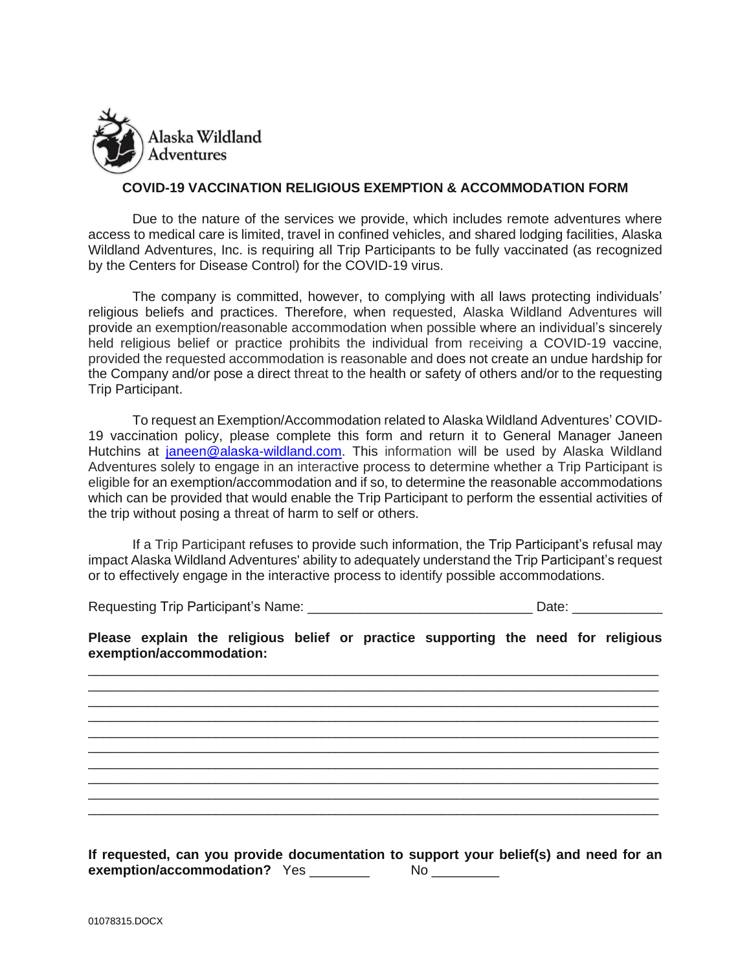

## **COVID-19 VACCINATION RELIGIOUS EXEMPTION & ACCOMMODATION FORM**

Due to the nature of the services we provide, which includes remote adventures where access to medical care is limited, travel in confined vehicles, and shared lodging facilities, Alaska Wildland Adventures, Inc. is requiring all Trip Participants to be fully vaccinated (as recognized by the Centers for Disease Control) for the COVID-19 virus.

The company is committed, however, to complying with all laws protecting individuals' religious beliefs and practices. Therefore, when requested, Alaska Wildland Adventures will provide an exemption/reasonable accommodation when possible where an individual's sincerely held religious belief or practice prohibits the individual from receiving a COVID-19 vaccine, provided the requested accommodation is reasonable and does not create an undue hardship for the Company and/or pose a direct threat to the health or safety of others and/or to the requesting Trip Participant.

To request an Exemption/Accommodation related to Alaska Wildland Adventures' COVID-19 vaccination policy, please complete this form and return it to General Manager Janeen Hutchins at [janeen@alaska-wildland.com.](mailto:janeen@alaska-wildland.com) This information will be used by Alaska Wildland Adventures solely to engage in an interactive process to determine whether a Trip Participant is eligible for an exemption/accommodation and if so, to determine the reasonable accommodations which can be provided that would enable the Trip Participant to perform the essential activities of the trip without posing a threat of harm to self or others.

If a Trip Participant refuses to provide such information, the Trip Participant's refusal may impact Alaska Wildland Adventures' ability to adequately understand the Trip Participant's request or to effectively engage in the interactive process to identify possible accommodations.

Requesting Trip Participant's Name: \_\_\_\_\_\_\_\_\_\_\_\_\_\_\_\_\_\_\_\_\_\_\_\_\_\_\_\_\_\_ Date: \_\_\_\_\_\_\_\_\_\_\_\_

**Please explain the religious belief or practice supporting the need for religious exemption/accommodation:** 

\_\_\_\_\_\_\_\_\_\_\_\_\_\_\_\_\_\_\_\_\_\_\_\_\_\_\_\_\_\_\_\_\_\_\_\_\_\_\_\_\_\_\_\_\_\_\_\_\_\_\_\_\_\_\_\_\_\_\_\_\_\_\_\_\_\_\_\_\_\_\_\_\_\_\_\_ \_\_\_\_\_\_\_\_\_\_\_\_\_\_\_\_\_\_\_\_\_\_\_\_\_\_\_\_\_\_\_\_\_\_\_\_\_\_\_\_\_\_\_\_\_\_\_\_\_\_\_\_\_\_\_\_\_\_\_\_\_\_\_\_\_\_\_\_\_\_\_\_\_\_\_\_ \_\_\_\_\_\_\_\_\_\_\_\_\_\_\_\_\_\_\_\_\_\_\_\_\_\_\_\_\_\_\_\_\_\_\_\_\_\_\_\_\_\_\_\_\_\_\_\_\_\_\_\_\_\_\_\_\_\_\_\_\_\_\_\_\_\_\_\_\_\_\_\_\_\_\_\_ \_\_\_\_\_\_\_\_\_\_\_\_\_\_\_\_\_\_\_\_\_\_\_\_\_\_\_\_\_\_\_\_\_\_\_\_\_\_\_\_\_\_\_\_\_\_\_\_\_\_\_\_\_\_\_\_\_\_\_\_\_\_\_\_\_\_\_\_\_\_\_\_\_\_\_\_ \_\_\_\_\_\_\_\_\_\_\_\_\_\_\_\_\_\_\_\_\_\_\_\_\_\_\_\_\_\_\_\_\_\_\_\_\_\_\_\_\_\_\_\_\_\_\_\_\_\_\_\_\_\_\_\_\_\_\_\_\_\_\_\_\_\_\_\_\_\_\_\_\_\_\_\_ \_\_\_\_\_\_\_\_\_\_\_\_\_\_\_\_\_\_\_\_\_\_\_\_\_\_\_\_\_\_\_\_\_\_\_\_\_\_\_\_\_\_\_\_\_\_\_\_\_\_\_\_\_\_\_\_\_\_\_\_\_\_\_\_\_\_\_\_\_\_\_\_\_\_\_\_

**If requested, can you provide documentation to support your belief(s) and need for an**  exemption/accommodation? Yes \_\_\_\_\_\_\_\_ No \_\_\_\_\_\_\_

\_\_\_\_\_\_\_\_\_\_\_\_\_\_\_\_\_\_\_\_\_\_\_\_\_\_\_\_\_\_\_\_\_\_\_\_\_\_\_\_\_\_\_\_\_\_\_\_\_\_\_\_\_\_\_\_\_\_\_\_\_\_\_\_\_\_\_\_\_\_\_\_\_\_\_\_ \_\_\_\_\_\_\_\_\_\_\_\_\_\_\_\_\_\_\_\_\_\_\_\_\_\_\_\_\_\_\_\_\_\_\_\_\_\_\_\_\_\_\_\_\_\_\_\_\_\_\_\_\_\_\_\_\_\_\_\_\_\_\_\_\_\_\_\_\_\_\_\_\_\_\_\_

 $\mathcal{L}_\text{max}$  , and the contribution of the contribution of the contribution of the contribution of the contribution of the contribution of the contribution of the contribution of the contribution of the contribution of t